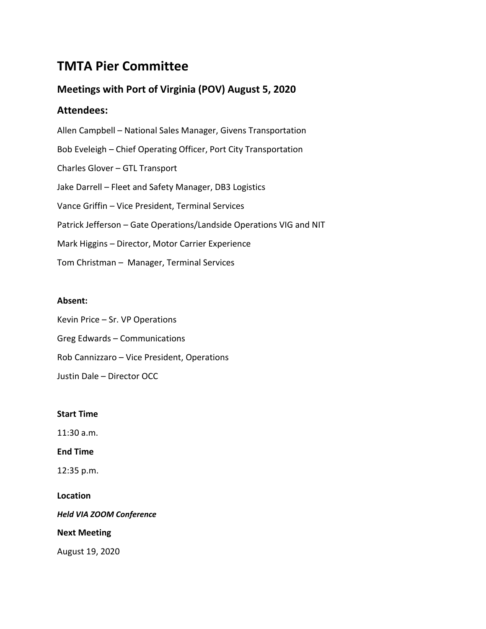# **TMTA Pier Committee**

# **Meetings with Port of Virginia (POV) August 5, 2020**

## **Attendees:**

Allen Campbell – National Sales Manager, Givens Transportation Bob Eveleigh – Chief Operating Officer, Port City Transportation Charles Glover – GTL Transport Jake Darrell – Fleet and Safety Manager, DB3 Logistics Vance Griffin – Vice President, Terminal Services Patrick Jefferson – Gate Operations/Landside Operations VIG and NIT Mark Higgins – Director, Motor Carrier Experience Tom Christman – Manager, Terminal Services

### **Absent:**

Kevin Price – Sr. VP Operations Greg Edwards – Communications Rob Cannizzaro – Vice President, Operations Justin Dale – Director OCC

### **Start Time**

11:30 a.m.

### **End Time**

12:35 p.m.

### **Location**

*Held VIA ZOOM Conference*

### **Next Meeting**

August 19, 2020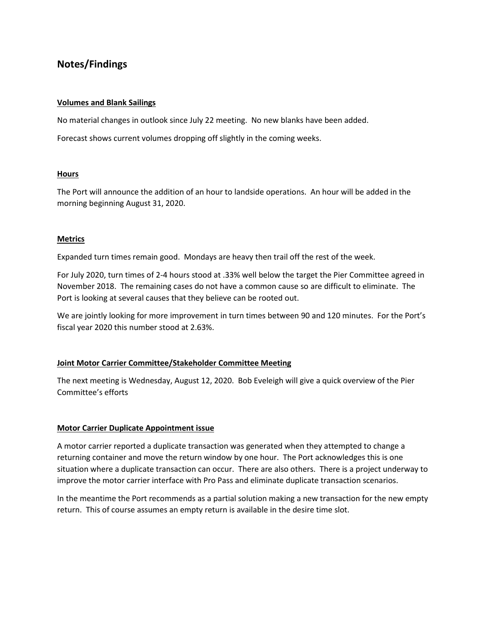## **Notes/Findings**

### **Volumes and Blank Sailings**

No material changes in outlook since July 22 meeting. No new blanks have been added.

Forecast shows current volumes dropping off slightly in the coming weeks.

### **Hours**

The Port will announce the addition of an hour to landside operations. An hour will be added in the morning beginning August 31, 2020.

### **Metrics**

Expanded turn times remain good. Mondays are heavy then trail off the rest of the week.

For July 2020, turn times of 2-4 hours stood at .33% well below the target the Pier Committee agreed in November 2018. The remaining cases do not have a common cause so are difficult to eliminate. The Port is looking at several causes that they believe can be rooted out.

We are jointly looking for more improvement in turn times between 90 and 120 minutes. For the Port's fiscal year 2020 this number stood at 2.63%.

### **Joint Motor Carrier Committee/Stakeholder Committee Meeting**

The next meeting is Wednesday, August 12, 2020. Bob Eveleigh will give a quick overview of the Pier Committee's efforts

### **Motor Carrier Duplicate Appointment issue**

A motor carrier reported a duplicate transaction was generated when they attempted to change a returning container and move the return window by one hour. The Port acknowledges this is one situation where a duplicate transaction can occur. There are also others. There is a project underway to improve the motor carrier interface with Pro Pass and eliminate duplicate transaction scenarios.

In the meantime the Port recommends as a partial solution making a new transaction for the new empty return. This of course assumes an empty return is available in the desire time slot.